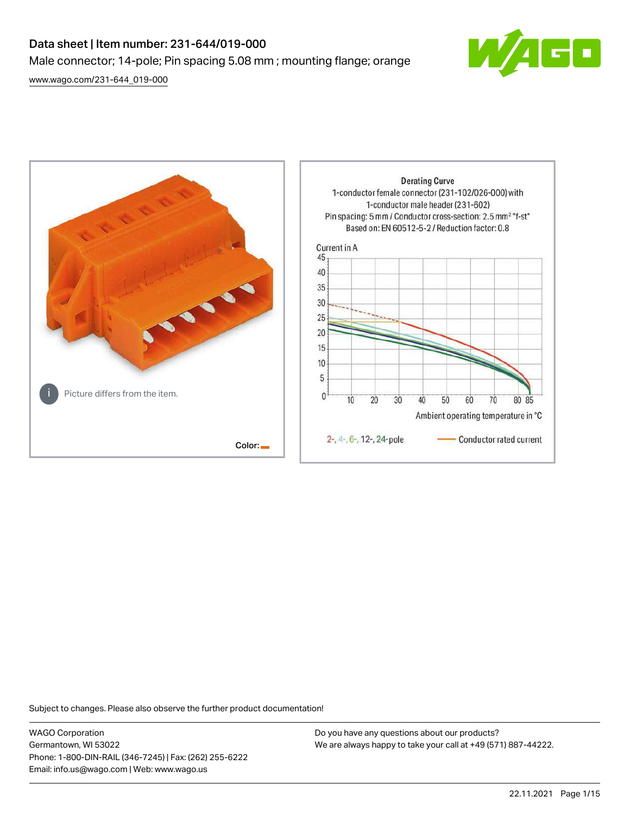# Data sheet | Item number: 231-644/019-000 Male connector; 14-pole; Pin spacing 5.08 mm ; mounting flange; orange

[www.wago.com/231-644\\_019-000](http://www.wago.com/231-644_019-000)





Subject to changes. Please also observe the further product documentation!

WAGO Corporation Germantown, WI 53022 Phone: 1-800-DIN-RAIL (346-7245) | Fax: (262) 255-6222 Email: info.us@wago.com | Web: www.wago.us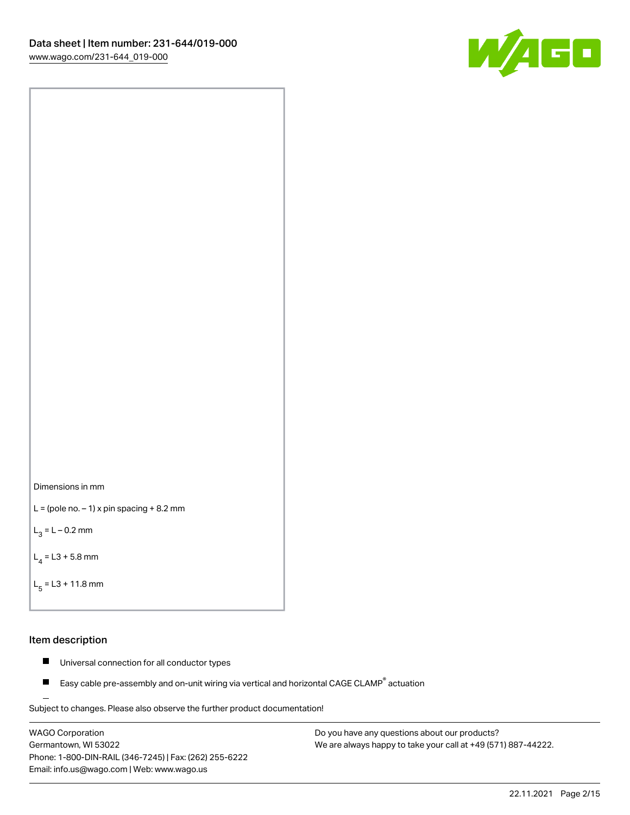



```
L = (pole no. -1) x pin spacing +8.2 mm
```
 $L_3 = L - 0.2$  mm

```
L_4 = L3 + 5.8 mm
```

```
L_{\rm g} = L3 + 11.8 mm
```
## Item description

- $\blacksquare$ Universal connection for all conductor types
- Easy cable pre-assembly and on-unit wiring via vertical and horizontal CAGE CLAMP<sup>®</sup> actuation  $\blacksquare$

Subject to changes. Please also observe the further product documentation! For wire-to-wire and board-to-wire connections

WAGO Corporation Germantown, WI 53022 Phone: 1-800-DIN-RAIL (346-7245) | Fax: (262) 255-6222 Email: info.us@wago.com | Web: www.wago.us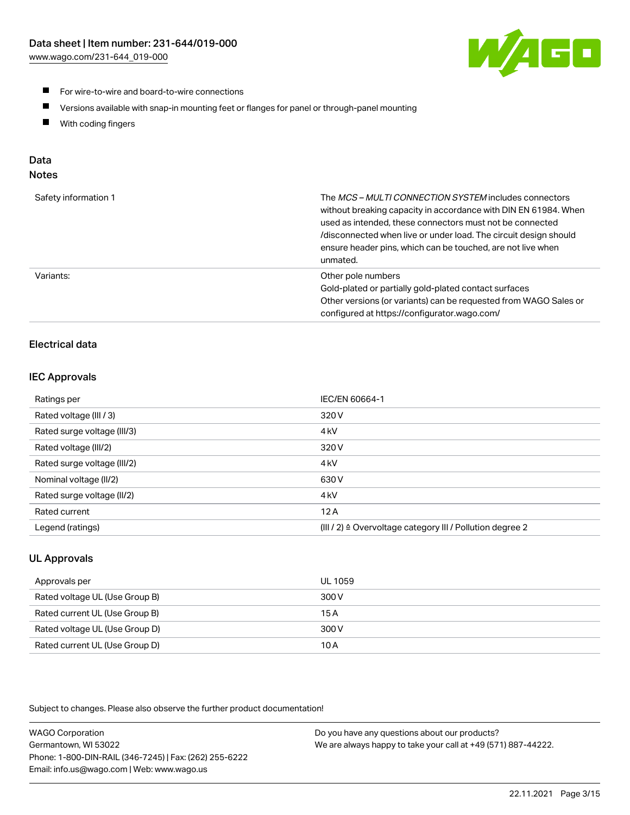

- **For wire-to-wire and board-to-wire connections**
- $\blacksquare$ Versions available with snap-in mounting feet or flanges for panel or through-panel mounting
- $\blacksquare$ With coding fingers

# Data

# Notes

| Safety information 1 | The MCS-MULTI CONNECTION SYSTEM includes connectors<br>without breaking capacity in accordance with DIN EN 61984. When<br>used as intended, these connectors must not be connected<br>/disconnected when live or under load. The circuit design should<br>ensure header pins, which can be touched, are not live when<br>unmated. |
|----------------------|-----------------------------------------------------------------------------------------------------------------------------------------------------------------------------------------------------------------------------------------------------------------------------------------------------------------------------------|
| Variants:            | Other pole numbers<br>Gold-plated or partially gold-plated contact surfaces<br>Other versions (or variants) can be requested from WAGO Sales or<br>configured at https://configurator.wago.com/                                                                                                                                   |

# Electrical data

# IEC Approvals

| Ratings per                 | IEC/EN 60664-1                                                        |
|-----------------------------|-----------------------------------------------------------------------|
| Rated voltage (III / 3)     | 320 V                                                                 |
| Rated surge voltage (III/3) | 4 <sub>k</sub> V                                                      |
| Rated voltage (III/2)       | 320 V                                                                 |
| Rated surge voltage (III/2) | 4 <sub>k</sub> V                                                      |
| Nominal voltage (II/2)      | 630 V                                                                 |
| Rated surge voltage (II/2)  | 4 <sub>k</sub> V                                                      |
| Rated current               | 12A                                                                   |
| Legend (ratings)            | $(III / 2)$ $\triangle$ Overvoltage category III / Pollution degree 2 |

# UL Approvals

| Approvals per                  | UL 1059 |
|--------------------------------|---------|
| Rated voltage UL (Use Group B) | 300 V   |
| Rated current UL (Use Group B) | 15 A    |
| Rated voltage UL (Use Group D) | 300 V   |
| Rated current UL (Use Group D) | 10 A    |

Subject to changes. Please also observe the further product documentation!

| <b>WAGO Corporation</b>                                | Do you have any questions about our products?                 |
|--------------------------------------------------------|---------------------------------------------------------------|
| Germantown, WI 53022                                   | We are always happy to take your call at +49 (571) 887-44222. |
| Phone: 1-800-DIN-RAIL (346-7245)   Fax: (262) 255-6222 |                                                               |
| Email: info.us@wago.com   Web: www.wago.us             |                                                               |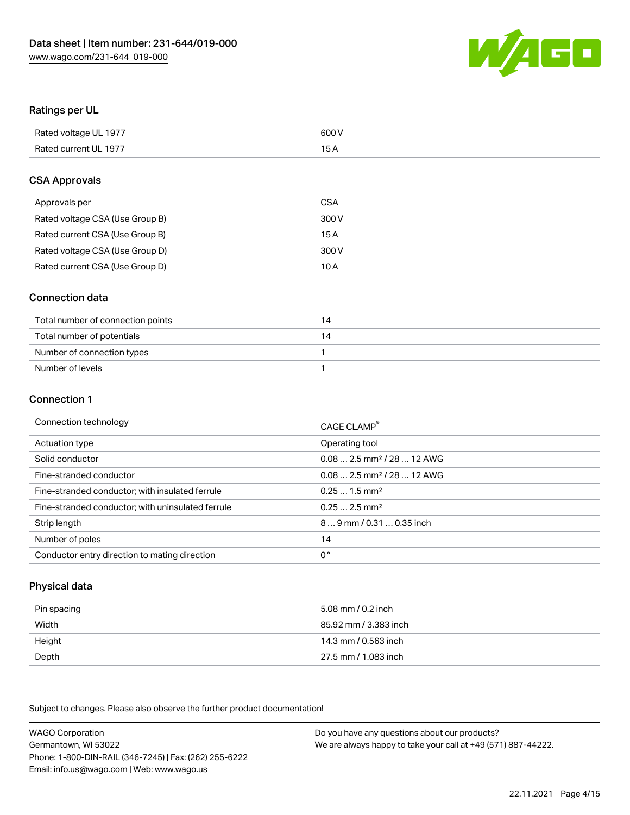

## Ratings per UL

| Rated voltage UL 1977 | 600 V |
|-----------------------|-------|
| Rated current UL 1977 | 1 E   |

#### CSA Approvals

| Approvals per                   | CSA   |
|---------------------------------|-------|
| Rated voltage CSA (Use Group B) | 300 V |
| Rated current CSA (Use Group B) | 15 A  |
| Rated voltage CSA (Use Group D) | 300 V |
| Rated current CSA (Use Group D) | 10 A  |

## Connection data

| Total number of connection points | $\overline{4}$ |
|-----------------------------------|----------------|
| Total number of potentials        | 14             |
| Number of connection types        |                |
| Number of levels                  |                |

#### Connection 1

| Connection technology                             | CAGE CLAMP <sup>®</sup>                 |
|---------------------------------------------------|-----------------------------------------|
| Actuation type                                    | Operating tool                          |
| Solid conductor                                   | $0.08$ 2.5 mm <sup>2</sup> / 28  12 AWG |
| Fine-stranded conductor                           | $0.082.5$ mm <sup>2</sup> / 28  12 AWG  |
| Fine-stranded conductor; with insulated ferrule   | $0.251.5$ mm <sup>2</sup>               |
| Fine-stranded conductor; with uninsulated ferrule | $0.252.5$ mm <sup>2</sup>               |
| Strip length                                      | 89 mm / 0.31  0.35 inch                 |
| Number of poles                                   | 14                                      |
| Conductor entry direction to mating direction     | 0°                                      |

# Physical data

| Pin spacing | 5.08 mm / 0.2 inch    |
|-------------|-----------------------|
| Width       | 85.92 mm / 3.383 inch |
| Height      | 14.3 mm / 0.563 inch  |
| Depth       | 27.5 mm / 1.083 inch  |

Subject to changes. Please also observe the further product documentation!

WAGO Corporation Germantown, WI 53022 Phone: 1-800-DIN-RAIL (346-7245) | Fax: (262) 255-6222 Email: info.us@wago.com | Web: www.wago.us Do you have any questions about our products? We are always happy to take your call at +49 (571) 887-44222.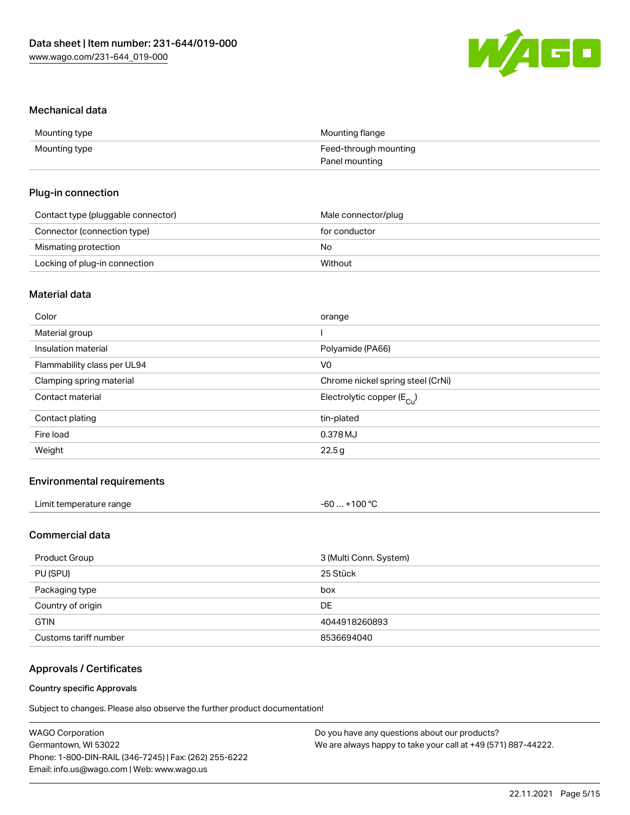

#### Mechanical data

| Mounting type | Mounting flange       |
|---------------|-----------------------|
| Mounting type | Feed-through mounting |
|               | Panel mounting        |

## Plug-in connection

| Contact type (pluggable connector) | Male connector/plug |
|------------------------------------|---------------------|
| Connector (connection type)        | for conductor       |
| Mismating protection               | No                  |
| Locking of plug-in connection      | Without             |

# Material data

| Color                       | orange                                |
|-----------------------------|---------------------------------------|
| Material group              |                                       |
| Insulation material         | Polyamide (PA66)                      |
| Flammability class per UL94 | V <sub>0</sub>                        |
| Clamping spring material    | Chrome nickel spring steel (CrNi)     |
| Contact material            | Electrolytic copper $(E_{\text{Cl}})$ |
| Contact plating             | tin-plated                            |
| Fire load                   | 0.378 MJ                              |
| Weight                      | 22.5g                                 |
|                             |                                       |

# Environmental requirements

| Limit temperature range | +100 $^{\circ}$ C<br>-60 |
|-------------------------|--------------------------|
|-------------------------|--------------------------|

# Commercial data

| Product Group         | 3 (Multi Conn. System) |
|-----------------------|------------------------|
| PU (SPU)              | 25 Stück               |
| Packaging type        | box                    |
| Country of origin     | DE                     |
| <b>GTIN</b>           | 4044918260893          |
| Customs tariff number | 8536694040             |

# Approvals / Certificates

#### Country specific Approvals

Subject to changes. Please also observe the further product documentation!

| <b>WAGO Corporation</b>                                | Do you have any questions about our products?                 |
|--------------------------------------------------------|---------------------------------------------------------------|
| Germantown, WI 53022                                   | We are always happy to take your call at +49 (571) 887-44222. |
| Phone: 1-800-DIN-RAIL (346-7245)   Fax: (262) 255-6222 |                                                               |
| Email: info.us@wago.com   Web: www.wago.us             |                                                               |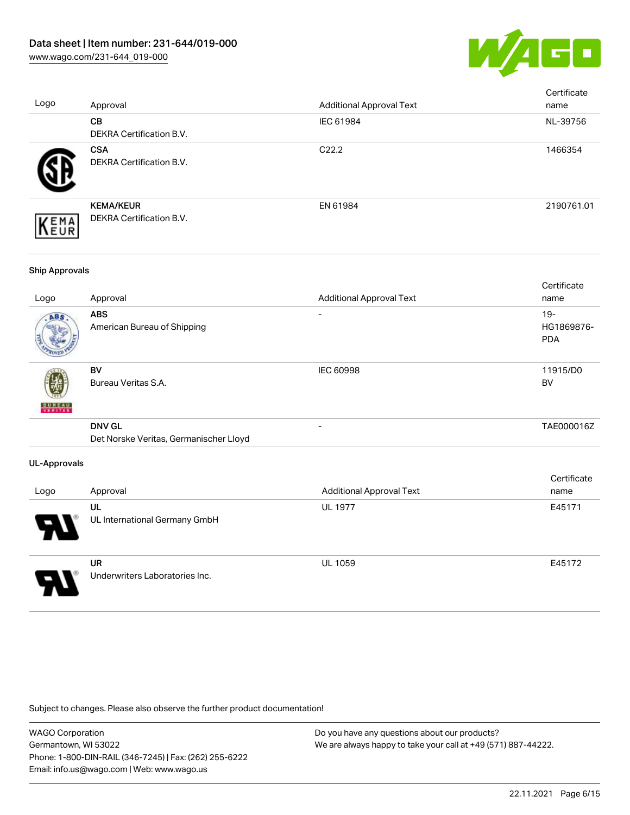

| Logo                  | Approval                                                | <b>Additional Approval Text</b> | Certificate<br>name             |
|-----------------------|---------------------------------------------------------|---------------------------------|---------------------------------|
|                       | CB<br>DEKRA Certification B.V.                          | IEC 61984                       | NL-39756                        |
|                       | <b>CSA</b><br>DEKRA Certification B.V.                  | C22.2                           | 1466354                         |
| EMA<br>EUR            | <b>KEMA/KEUR</b><br>DEKRA Certification B.V.            | EN 61984                        | 2190761.01                      |
| <b>Ship Approvals</b> |                                                         |                                 |                                 |
| Logo                  | Approval                                                | <b>Additional Approval Text</b> | Certificate<br>name             |
|                       | <b>ABS</b><br>American Bureau of Shipping               |                                 | 19-<br>HG1869876-<br><b>PDA</b> |
|                       | <b>BV</b><br>Bureau Veritas S.A.                        | IEC 60998                       | 11915/D0<br><b>BV</b>           |
|                       | <b>DNV GL</b><br>Det Norske Veritas, Germanischer Lloyd | $\overline{a}$                  | TAE000016Z                      |
| <b>UL-Approvals</b>   |                                                         |                                 |                                 |
| Logo                  | Approval                                                | <b>Additional Approval Text</b> | Certificate<br>name             |
|                       | UL<br>UL International Germany GmbH                     | <b>UL 1977</b>                  | E45171                          |
|                       | <b>UR</b><br>Underwriters Laboratories Inc.             | UL 1059                         | E45172                          |

Subject to changes. Please also observe the further product documentation!

WAGO Corporation Germantown, WI 53022 Phone: 1-800-DIN-RAIL (346-7245) | Fax: (262) 255-6222 Email: info.us@wago.com | Web: www.wago.us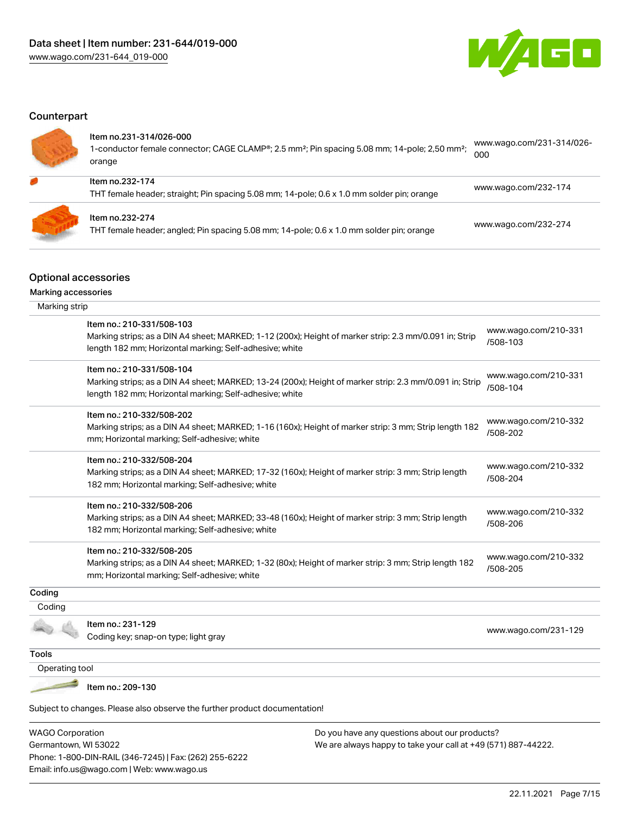Phone: 1-800-DIN-RAIL (346-7245) | Fax: (262) 255-6222

Email: info.us@wago.com | Web: www.wago.us



# **Counterpart**

| ltem no.231-314/026-000<br>1-conductor female connector; CAGE CLAMP <sup>®</sup> ; 2.5 mm <sup>2</sup> ; Pin spacing 5.08 mm; 14-pole; 2,50 mm <sup>2</sup> ;<br>orange | www.wago.com/231-314/026-<br>000 |
|-------------------------------------------------------------------------------------------------------------------------------------------------------------------------|----------------------------------|
| Item no.232-174<br>THT female header; straight; Pin spacing 5.08 mm; 14-pole; 0.6 x 1.0 mm solder pin; orange                                                           | www.wago.com/232-174             |
| Item no.232-274<br>THT female header; angled; Pin spacing 5.08 mm; 14-pole; 0.6 x 1.0 mm solder pin; orange                                                             | www.wago.com/232-274             |

# Optional accessories

Marking accessories

| Marking strip           |                                                                                                                                                                    |                                                               |                                  |
|-------------------------|--------------------------------------------------------------------------------------------------------------------------------------------------------------------|---------------------------------------------------------------|----------------------------------|
|                         | Item no.: 210-331/508-103<br>Marking strips; as a DIN A4 sheet; MARKED; 1-12 (200x); Height of marker strip: 2.3 mm/0.091 in; Strip                                |                                                               | www.wago.com/210-331             |
|                         | length 182 mm; Horizontal marking; Self-adhesive; white                                                                                                            |                                                               | /508-103                         |
|                         | Item no.: 210-331/508-104                                                                                                                                          |                                                               | www.wago.com/210-331             |
|                         | Marking strips; as a DIN A4 sheet; MARKED; 13-24 (200x); Height of marker strip: 2.3 mm/0.091 in; Strip<br>length 182 mm; Horizontal marking; Self-adhesive; white |                                                               | /508-104                         |
|                         | Item no.: 210-332/508-202                                                                                                                                          |                                                               |                                  |
|                         | Marking strips; as a DIN A4 sheet; MARKED; 1-16 (160x); Height of marker strip: 3 mm; Strip length 182<br>mm; Horizontal marking; Self-adhesive; white             |                                                               | www.wago.com/210-332<br>/508-202 |
|                         | Item no.: 210-332/508-204                                                                                                                                          |                                                               | www.wago.com/210-332             |
|                         | Marking strips; as a DIN A4 sheet; MARKED; 17-32 (160x); Height of marker strip: 3 mm; Strip length<br>182 mm; Horizontal marking; Self-adhesive; white            |                                                               | /508-204                         |
|                         | Item no.: 210-332/508-206                                                                                                                                          |                                                               | www.wago.com/210-332             |
|                         | Marking strips; as a DIN A4 sheet; MARKED; 33-48 (160x); Height of marker strip: 3 mm; Strip length<br>182 mm; Horizontal marking; Self-adhesive; white            |                                                               | /508-206                         |
|                         | Item no.: 210-332/508-205                                                                                                                                          |                                                               |                                  |
|                         | Marking strips; as a DIN A4 sheet; MARKED; 1-32 (80x); Height of marker strip: 3 mm; Strip length 182<br>mm; Horizontal marking; Self-adhesive; white              |                                                               | www.wago.com/210-332<br>/508-205 |
| Coding                  |                                                                                                                                                                    |                                                               |                                  |
| Coding                  |                                                                                                                                                                    |                                                               |                                  |
|                         | Item no.: 231-129<br>Coding key; snap-on type; light gray                                                                                                          |                                                               | www.wago.com/231-129             |
| <b>Tools</b>            |                                                                                                                                                                    |                                                               |                                  |
| Operating tool          |                                                                                                                                                                    |                                                               |                                  |
|                         | Item no.: 209-130                                                                                                                                                  |                                                               |                                  |
|                         | Subject to changes. Please also observe the further product documentation!                                                                                         |                                                               |                                  |
| <b>WAGO Corporation</b> |                                                                                                                                                                    | Do you have any questions about our products?                 |                                  |
| Germantown, WI 53022    |                                                                                                                                                                    | We are always happy to take your call at +49 (571) 887-44222. |                                  |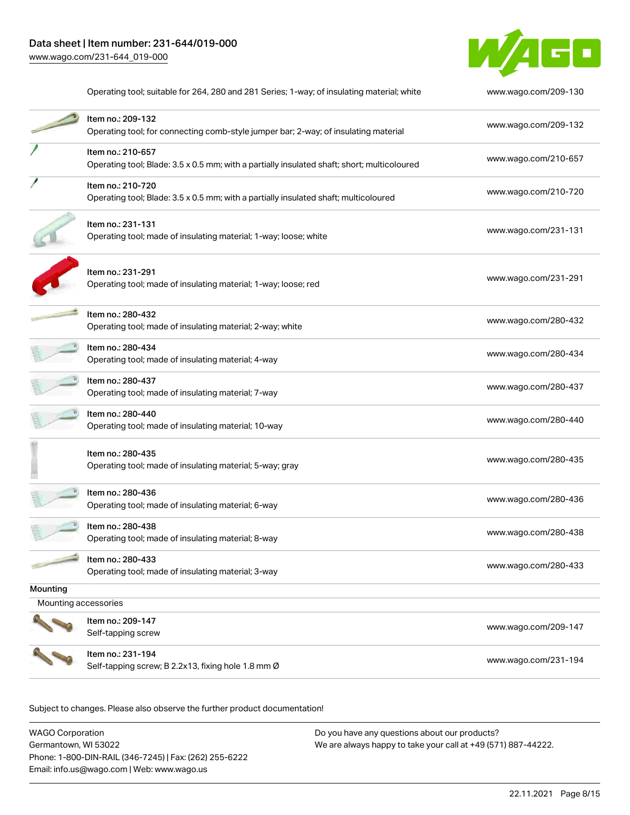

|                                  | Operating tool; suitable for 264, 280 and 281 Series; 1-way; of insulating material; white                       | www.wago.com/209-130 |
|----------------------------------|------------------------------------------------------------------------------------------------------------------|----------------------|
|                                  | Item no.: 209-132<br>Operating tool; for connecting comb-style jumper bar; 2-way; of insulating material         | www.wago.com/209-132 |
|                                  | Item no.: 210-657<br>Operating tool; Blade: 3.5 x 0.5 mm; with a partially insulated shaft; short; multicoloured | www.wago.com/210-657 |
|                                  | Item no.: 210-720<br>Operating tool; Blade: 3.5 x 0.5 mm; with a partially insulated shaft; multicoloured        | www.wago.com/210-720 |
|                                  | Item no.: 231-131<br>Operating tool; made of insulating material; 1-way; loose; white                            | www.wago.com/231-131 |
|                                  | Item no.: 231-291<br>Operating tool; made of insulating material; 1-way; loose; red                              | www.wago.com/231-291 |
|                                  | Item no.: 280-432<br>Operating tool; made of insulating material; 2-way; white                                   | www.wago.com/280-432 |
|                                  | ltem no.: 280-434<br>Operating tool; made of insulating material; 4-way                                          | www.wago.com/280-434 |
|                                  | Item no.: 280-437<br>Operating tool; made of insulating material; 7-way                                          | www.wago.com/280-437 |
|                                  | Item no.: 280-440<br>Operating tool; made of insulating material; 10-way                                         | www.wago.com/280-440 |
|                                  | ltem no.: 280-435<br>Operating tool; made of insulating material; 5-way; gray                                    | www.wago.com/280-435 |
|                                  | Item no.: 280-436<br>Operating tool; made of insulating material; 6-way                                          | www.wago.com/280-436 |
|                                  | Item no.: 280-438<br>Operating tool; made of insulating material; 8-way                                          | www.wago.com/280-438 |
|                                  | Item no.: 280-433<br>Operating tool; made of insulating material; 3-way                                          | www.wago.com/280-433 |
| Mounting<br>Mounting accessories |                                                                                                                  |                      |
|                                  | Item no.: 209-147<br>Self-tapping screw                                                                          | www.wago.com/209-147 |
|                                  | Item no.: 231-194<br>Self-tapping screw; B 2.2x13, fixing hole 1.8 mm Ø                                          | www.wago.com/231-194 |

Subject to changes. Please also observe the further product documentation!

| WAGO Corporation                                       | Do you have any questions about our products?                 |
|--------------------------------------------------------|---------------------------------------------------------------|
| Germantown, WI 53022                                   | We are always happy to take your call at +49 (571) 887-44222. |
| Phone: 1-800-DIN-RAIL (346-7245)   Fax: (262) 255-6222 |                                                               |
| Email: info.us@wago.com   Web: www.wago.us             |                                                               |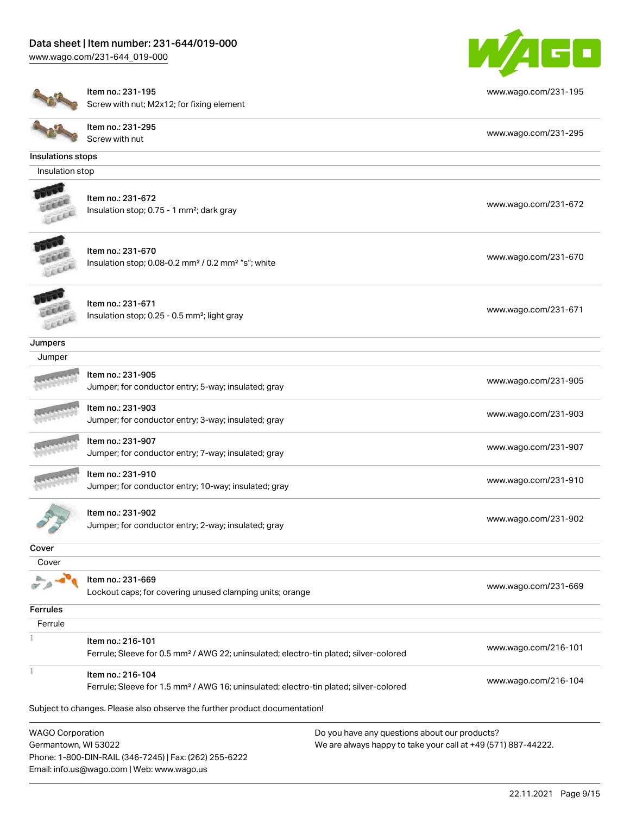# Data sheet | Item number: 231-644/019-000

Phone: 1-800-DIN-RAIL (346-7245) | Fax: (262) 255-6222

Email: info.us@wago.com | Web: www.wago.us

[www.wago.com/231-644\\_019-000](http://www.wago.com/231-644_019-000)



|                         | Item no.: 231-195                                                                                                      | www.wago.com/231-195                                          |
|-------------------------|------------------------------------------------------------------------------------------------------------------------|---------------------------------------------------------------|
|                         | Screw with nut; M2x12; for fixing element                                                                              |                                                               |
|                         | Item no.: 231-295<br>Screw with nut                                                                                    | www.wago.com/231-295                                          |
| Insulations stops       |                                                                                                                        |                                                               |
| Insulation stop         |                                                                                                                        |                                                               |
|                         |                                                                                                                        |                                                               |
|                         | Item no.: 231-672<br>Insulation stop; 0.75 - 1 mm <sup>2</sup> ; dark gray                                             | www.wago.com/231-672                                          |
|                         | Item no.: 231-670<br>Insulation stop; 0.08-0.2 mm <sup>2</sup> / 0.2 mm <sup>2</sup> "s"; white                        | www.wago.com/231-670                                          |
|                         | Item no.: 231-671<br>Insulation stop; 0.25 - 0.5 mm <sup>2</sup> ; light gray                                          | www.wago.com/231-671                                          |
| Jumpers                 |                                                                                                                        |                                                               |
| Jumper                  |                                                                                                                        |                                                               |
|                         | Item no.: 231-905<br>Jumper; for conductor entry; 5-way; insulated; gray                                               | www.wago.com/231-905                                          |
|                         | Item no.: 231-903<br>Jumper; for conductor entry; 3-way; insulated; gray                                               | www.wago.com/231-903                                          |
|                         | Item no.: 231-907<br>Jumper; for conductor entry; 7-way; insulated; gray                                               | www.wago.com/231-907                                          |
|                         | Item no.: 231-910<br>Jumper; for conductor entry; 10-way; insulated; gray                                              | www.wago.com/231-910                                          |
|                         | Item no.: 231-902<br>Jumper; for conductor entry; 2-way; insulated; gray                                               | www.wago.com/231-902                                          |
| Cover                   |                                                                                                                        |                                                               |
| Cover                   |                                                                                                                        |                                                               |
|                         | Item no.: 231-669<br>Lockout caps; for covering unused clamping units; orange                                          | www.wago.com/231-669                                          |
| <b>Ferrules</b>         |                                                                                                                        |                                                               |
| Ferrule                 |                                                                                                                        |                                                               |
|                         | Item no.: 216-101<br>Ferrule; Sleeve for 0.5 mm <sup>2</sup> / AWG 22; uninsulated; electro-tin plated; silver-colored | www.wago.com/216-101                                          |
|                         | Item no.: 216-104<br>Ferrule; Sleeve for 1.5 mm <sup>2</sup> / AWG 16; uninsulated; electro-tin plated; silver-colored | www.wago.com/216-104                                          |
|                         | Subject to changes. Please also observe the further product documentation!                                             |                                                               |
| <b>WAGO Corporation</b> |                                                                                                                        | Do you have any questions about our products?                 |
| Germantown, WI 53022    |                                                                                                                        | We are always happy to take your call at +49 (571) 887-44222. |
|                         |                                                                                                                        |                                                               |

22.11.2021 Page 9/15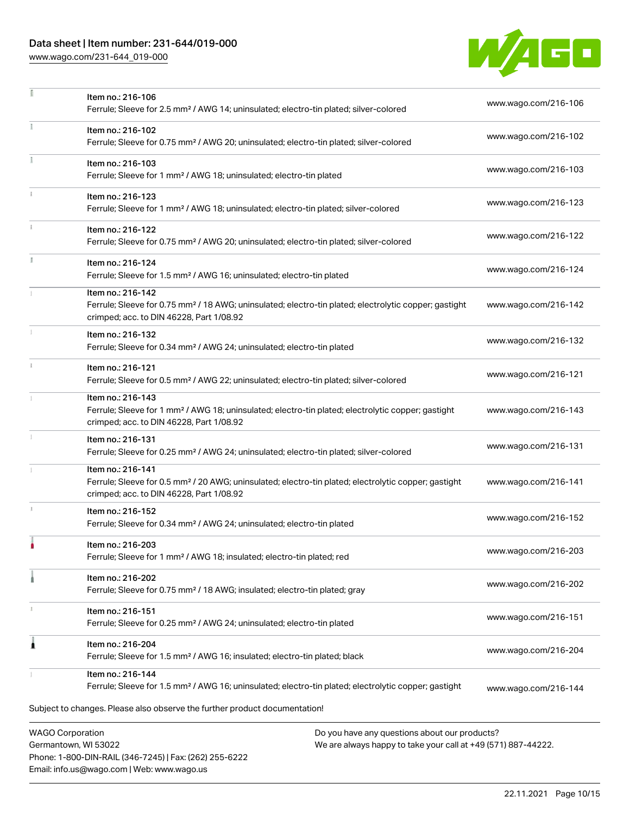# Data sheet | Item number: 231-644/019-000

Phone: 1-800-DIN-RAIL (346-7245) | Fax: (262) 255-6222

Email: info.us@wago.com | Web: www.wago.us

[www.wago.com/231-644\\_019-000](http://www.wago.com/231-644_019-000)



|                                                 | Item no.: 216-106<br>Ferrule; Sleeve for 2.5 mm <sup>2</sup> / AWG 14; uninsulated; electro-tin plated; silver-colored                                                             |                                                                                                                | www.wago.com/216-106 |
|-------------------------------------------------|------------------------------------------------------------------------------------------------------------------------------------------------------------------------------------|----------------------------------------------------------------------------------------------------------------|----------------------|
|                                                 | Item no.: 216-102<br>Ferrule; Sleeve for 0.75 mm <sup>2</sup> / AWG 20; uninsulated; electro-tin plated; silver-colored                                                            |                                                                                                                | www.wago.com/216-102 |
|                                                 | Item no.: 216-103<br>Ferrule; Sleeve for 1 mm <sup>2</sup> / AWG 18; uninsulated; electro-tin plated                                                                               |                                                                                                                | www.wago.com/216-103 |
|                                                 | Item no.: 216-123<br>Ferrule; Sleeve for 1 mm <sup>2</sup> / AWG 18; uninsulated; electro-tin plated; silver-colored                                                               |                                                                                                                | www.wago.com/216-123 |
|                                                 | Item no.: 216-122<br>Ferrule; Sleeve for 0.75 mm <sup>2</sup> / AWG 20; uninsulated; electro-tin plated; silver-colored                                                            |                                                                                                                | www.wago.com/216-122 |
| I.                                              | Item no.: 216-124<br>Ferrule; Sleeve for 1.5 mm <sup>2</sup> / AWG 16; uninsulated; electro-tin plated                                                                             |                                                                                                                | www.wago.com/216-124 |
|                                                 | Item no.: 216-142<br>Ferrule; Sleeve for 0.75 mm <sup>2</sup> / 18 AWG; uninsulated; electro-tin plated; electrolytic copper; gastight<br>crimped; acc. to DIN 46228, Part 1/08.92 |                                                                                                                | www.wago.com/216-142 |
|                                                 | Item no.: 216-132<br>Ferrule; Sleeve for 0.34 mm <sup>2</sup> / AWG 24; uninsulated; electro-tin plated                                                                            |                                                                                                                | www.wago.com/216-132 |
|                                                 | Item no.: 216-121<br>Ferrule; Sleeve for 0.5 mm <sup>2</sup> / AWG 22; uninsulated; electro-tin plated; silver-colored                                                             |                                                                                                                | www.wago.com/216-121 |
|                                                 | Item no.: 216-143<br>Ferrule; Sleeve for 1 mm <sup>2</sup> / AWG 18; uninsulated; electro-tin plated; electrolytic copper; gastight<br>crimped; acc. to DIN 46228, Part 1/08.92    |                                                                                                                | www.wago.com/216-143 |
|                                                 | Item no.: 216-131<br>Ferrule; Sleeve for 0.25 mm <sup>2</sup> / AWG 24; uninsulated; electro-tin plated; silver-colored                                                            |                                                                                                                | www.wago.com/216-131 |
|                                                 | Item no.: 216-141<br>Ferrule; Sleeve for 0.5 mm <sup>2</sup> / 20 AWG; uninsulated; electro-tin plated; electrolytic copper; gastight<br>crimped; acc. to DIN 46228, Part 1/08.92  |                                                                                                                | www.wago.com/216-141 |
|                                                 | Item no.: 216-152<br>Ferrule; Sleeve for 0.34 mm <sup>2</sup> / AWG 24; uninsulated; electro-tin plated                                                                            |                                                                                                                | www.wago.com/216-152 |
|                                                 | Item no.: 216-203<br>Ferrule; Sleeve for 1 mm <sup>2</sup> / AWG 18; insulated; electro-tin plated; red                                                                            |                                                                                                                | www.wago.com/216-203 |
|                                                 | Item no.: 216-202<br>Ferrule; Sleeve for 0.75 mm <sup>2</sup> / 18 AWG; insulated; electro-tin plated; gray                                                                        |                                                                                                                | www.wago.com/216-202 |
|                                                 | Item no.: 216-151<br>Ferrule; Sleeve for 0.25 mm <sup>2</sup> / AWG 24; uninsulated; electro-tin plated                                                                            |                                                                                                                | www.wago.com/216-151 |
| 1                                               | Item no.: 216-204<br>Ferrule; Sleeve for 1.5 mm <sup>2</sup> / AWG 16; insulated; electro-tin plated; black                                                                        |                                                                                                                | www.wago.com/216-204 |
|                                                 | Item no.: 216-144<br>Ferrule; Sleeve for 1.5 mm <sup>2</sup> / AWG 16; uninsulated; electro-tin plated; electrolytic copper; gastight                                              |                                                                                                                | www.wago.com/216-144 |
|                                                 | Subject to changes. Please also observe the further product documentation!                                                                                                         |                                                                                                                |                      |
| <b>WAGO Corporation</b><br>Germantown, WI 53022 |                                                                                                                                                                                    | Do you have any questions about our products?<br>We are always happy to take your call at +49 (571) 887-44222. |                      |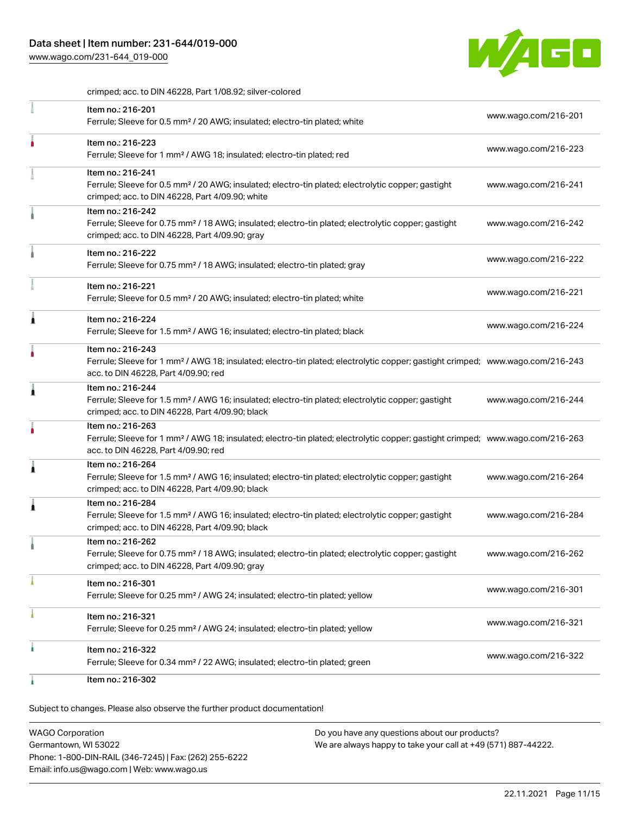[www.wago.com/231-644\\_019-000](http://www.wago.com/231-644_019-000)



crimped; acc. to DIN 46228, Part 1/08.92; silver-colored

| Item no.: 216-201<br>Ferrule; Sleeve for 0.5 mm <sup>2</sup> / 20 AWG; insulated; electro-tin plated; white                                                                                             | www.wago.com/216-201 |
|---------------------------------------------------------------------------------------------------------------------------------------------------------------------------------------------------------|----------------------|
| Item no.: 216-223<br>Ferrule; Sleeve for 1 mm <sup>2</sup> / AWG 18; insulated; electro-tin plated; red                                                                                                 | www.wago.com/216-223 |
| Item no.: 216-241<br>Ferrule; Sleeve for 0.5 mm <sup>2</sup> / 20 AWG; insulated; electro-tin plated; electrolytic copper; gastight<br>crimped; acc. to DIN 46228, Part 4/09.90; white                  | www.wago.com/216-241 |
| Item no.: 216-242<br>Ferrule; Sleeve for 0.75 mm <sup>2</sup> / 18 AWG; insulated; electro-tin plated; electrolytic copper; gastight<br>crimped; acc. to DIN 46228, Part 4/09.90; gray                  | www.wago.com/216-242 |
| Item no.: 216-222<br>Ferrule; Sleeve for 0.75 mm <sup>2</sup> / 18 AWG; insulated; electro-tin plated; gray                                                                                             | www.wago.com/216-222 |
| Item no.: 216-221<br>Ferrule; Sleeve for 0.5 mm <sup>2</sup> / 20 AWG; insulated; electro-tin plated; white                                                                                             | www.wago.com/216-221 |
| Item no.: 216-224<br>Ferrule; Sleeve for 1.5 mm <sup>2</sup> / AWG 16; insulated; electro-tin plated; black                                                                                             | www.wago.com/216-224 |
| Item no.: 216-243<br>Ferrule; Sleeve for 1 mm <sup>2</sup> / AWG 18; insulated; electro-tin plated; electrolytic copper; gastight crimped; www.wago.com/216-243<br>acc. to DIN 46228, Part 4/09.90; red |                      |
| Item no.: 216-244<br>Ferrule; Sleeve for 1.5 mm <sup>2</sup> / AWG 16; insulated; electro-tin plated; electrolytic copper; gastight<br>crimped; acc. to DIN 46228, Part 4/09.90; black                  | www.wago.com/216-244 |
| Item no.: 216-263<br>Ferrule; Sleeve for 1 mm <sup>2</sup> / AWG 18; insulated; electro-tin plated; electrolytic copper; gastight crimped; www.wago.com/216-263<br>acc. to DIN 46228, Part 4/09.90; red |                      |
| Item no.: 216-264<br>Ferrule; Sleeve for 1.5 mm <sup>2</sup> / AWG 16; insulated; electro-tin plated; electrolytic copper; gastight<br>crimped; acc. to DIN 46228, Part 4/09.90; black                  | www.wago.com/216-264 |
| Item no.: 216-284<br>Ferrule; Sleeve for 1.5 mm <sup>2</sup> / AWG 16; insulated; electro-tin plated; electrolytic copper; gastight<br>crimped; acc. to DIN 46228, Part 4/09.90; black                  | www.wago.com/216-284 |
| Item no.: 216-262<br>Ferrule; Sleeve for 0.75 mm <sup>2</sup> / 18 AWG; insulated; electro-tin plated; electrolytic copper; gastight<br>crimped; acc. to DIN 46228, Part 4/09.90; gray                  | www.wago.com/216-262 |
| Item no.: 216-301<br>Ferrule; Sleeve for 0.25 mm <sup>2</sup> / AWG 24; insulated; electro-tin plated; yellow                                                                                           | www.wago.com/216-301 |
| Item no.: 216-321<br>Ferrule; Sleeve for 0.25 mm <sup>2</sup> / AWG 24; insulated; electro-tin plated; yellow                                                                                           | www.wago.com/216-321 |
| Item no.: 216-322<br>Ferrule; Sleeve for 0.34 mm <sup>2</sup> / 22 AWG; insulated; electro-tin plated; green                                                                                            | www.wago.com/216-322 |
| Item no.: 216-302                                                                                                                                                                                       |                      |

Subject to changes. Please also observe the further product documentation!

WAGO Corporation Germantown, WI 53022 Phone: 1-800-DIN-RAIL (346-7245) | Fax: (262) 255-6222 Email: info.us@wago.com | Web: www.wago.us Do you have any questions about our products? We are always happy to take your call at +49 (571) 887-44222.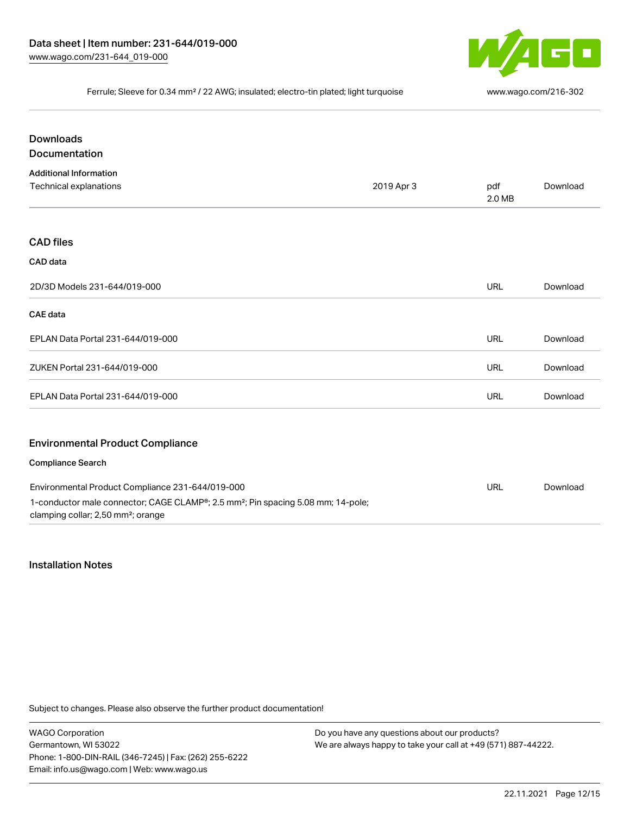

#### Ferrule; Sleeve for 0.34 mm² / 22 AWG; insulated; electro-tin plated; light turquoise [www.wago.com/216-302](http://www.wago.com/216-302)

| <b>Downloads</b>                                                                                                                               |            |               |          |
|------------------------------------------------------------------------------------------------------------------------------------------------|------------|---------------|----------|
| <b>Documentation</b>                                                                                                                           |            |               |          |
| <b>Additional Information</b>                                                                                                                  |            |               |          |
| Technical explanations                                                                                                                         | 2019 Apr 3 | pdf<br>2.0 MB | Download |
| <b>CAD files</b>                                                                                                                               |            |               |          |
| CAD data                                                                                                                                       |            |               |          |
| 2D/3D Models 231-644/019-000                                                                                                                   |            | <b>URL</b>    | Download |
| <b>CAE</b> data                                                                                                                                |            |               |          |
| EPLAN Data Portal 231-644/019-000                                                                                                              |            | <b>URL</b>    | Download |
| ZUKEN Portal 231-644/019-000                                                                                                                   |            | URL           | Download |
| EPLAN Data Portal 231-644/019-000                                                                                                              |            | <b>URL</b>    | Download |
| <b>Environmental Product Compliance</b>                                                                                                        |            |               |          |
| <b>Compliance Search</b>                                                                                                                       |            |               |          |
| Environmental Product Compliance 231-644/019-000                                                                                               |            | <b>URL</b>    | Download |
| 1-conductor male connector; CAGE CLAMP®; 2.5 mm <sup>2</sup> ; Pin spacing 5.08 mm; 14-pole;<br>clamping collar; 2,50 mm <sup>2</sup> ; orange |            |               |          |

#### Installation Notes

Subject to changes. Please also observe the further product documentation!

WAGO Corporation Germantown, WI 53022 Phone: 1-800-DIN-RAIL (346-7245) | Fax: (262) 255-6222 Email: info.us@wago.com | Web: www.wago.us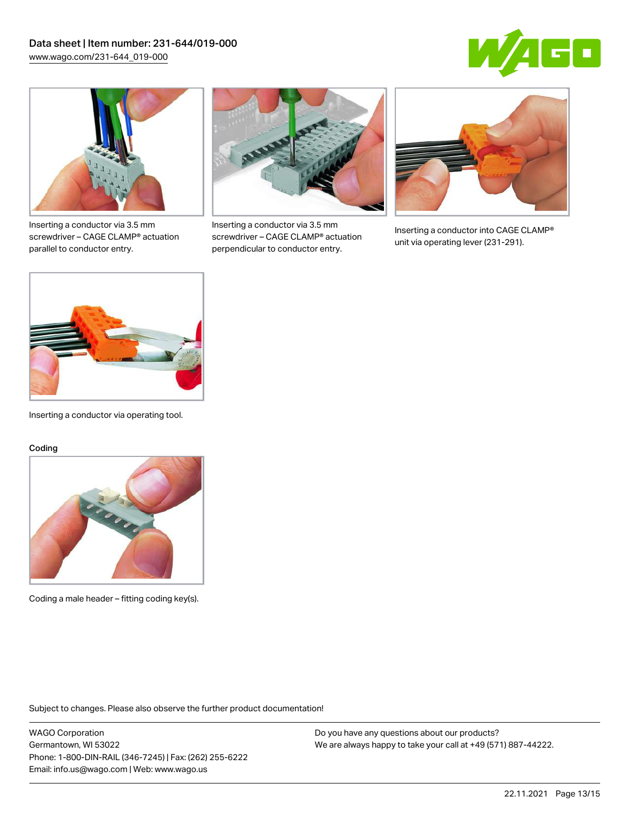



Inserting a conductor via 3.5 mm screwdriver – CAGE CLAMP® actuation parallel to conductor entry.



Inserting a conductor via 3.5 mm screwdriver – CAGE CLAMP® actuation perpendicular to conductor entry.



Inserting a conductor into CAGE CLAMP® unit via operating lever (231-291).



Inserting a conductor via operating tool.

#### Coding



Coding a male header – fitting coding key(s).

Subject to changes. Please also observe the further product documentation!

WAGO Corporation Germantown, WI 53022 Phone: 1-800-DIN-RAIL (346-7245) | Fax: (262) 255-6222 Email: info.us@wago.com | Web: www.wago.us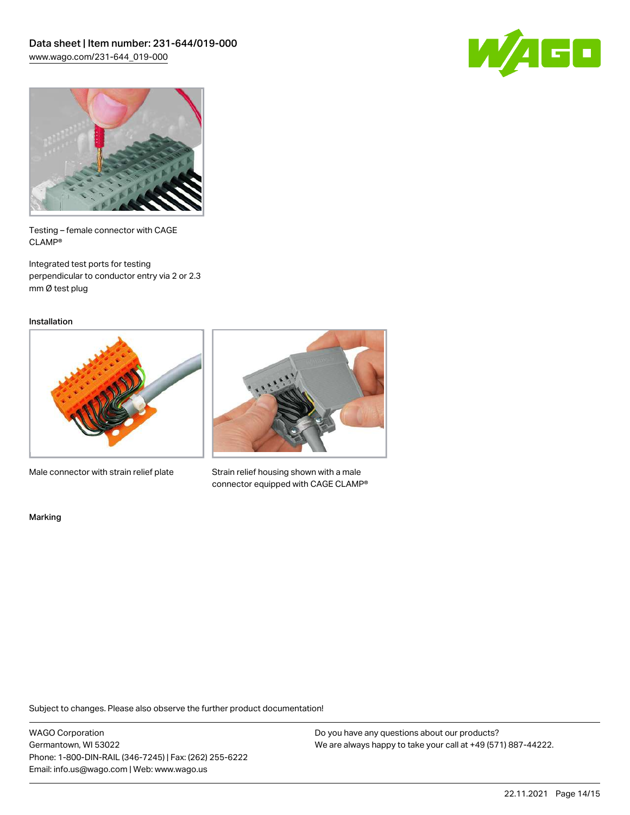



Testing – female connector with CAGE CLAMP®

Integrated test ports for testing perpendicular to conductor entry via 2 or 2.3 mm Ø test plug

Installation



Male connector with strain relief plate



Strain relief housing shown with a male connector equipped with CAGE CLAMP®

Marking

Subject to changes. Please also observe the further product documentation!

WAGO Corporation Germantown, WI 53022 Phone: 1-800-DIN-RAIL (346-7245) | Fax: (262) 255-6222 Email: info.us@wago.com | Web: www.wago.us